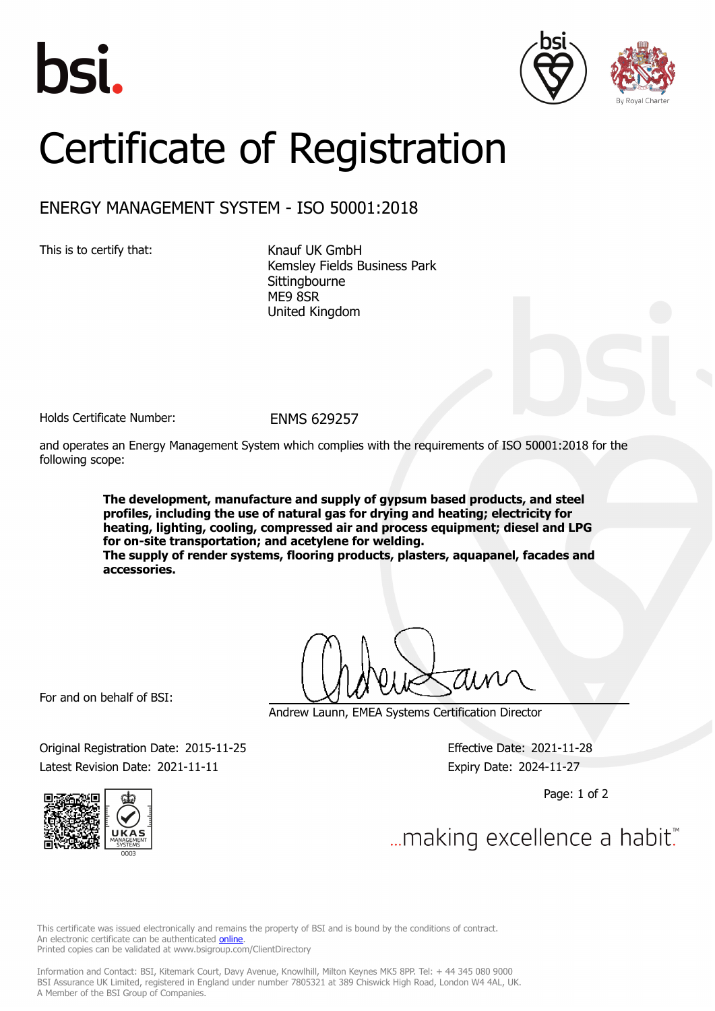





## Certificate of Registration

## ENERGY MANAGEMENT SYSTEM - ISO 50001:2018

This is to certify that: Knauf UK GmbH

Kemsley Fields Business Park **Sittingbourne** ME9 8SR United Kingdom

Holds Certificate Number: FNMS 629257

and operates an Energy Management System which complies with the requirements of ISO 50001:2018 for the following scope:

> **The development, manufacture and supply of gypsum based products, and steel profiles, including the use of natural gas for drying and heating; electricity for heating, lighting, cooling, compressed air and process equipment; diesel and LPG for on-site transportation; and acetylene for welding. The supply of render systems, flooring products, plasters, aquapanel, facades and accessories.**

For and on behalf of BSI:

Andrew Launn, EMEA Systems Certification Director

Original Registration Date: 2015-11-25 Effective Date: 2021-11-28 Latest Revision Date: 2021-11-11 Expiry Date: 2024-11-27

Page: 1 of 2





... making excellence a habit.

This certificate was issued electronically and remains the property of BSI and is bound by the conditions of contract. An electronic certificate can be authenticated **[online](https://pgplus.bsigroup.com/CertificateValidation/CertificateValidator.aspx?CertificateNumber=ENMS+629257&ReIssueDate=11%2f11%2f2021&Template=uk)**. Printed copies can be validated at www.bsigroup.com/ClientDirectory

Information and Contact: BSI, Kitemark Court, Davy Avenue, Knowlhill, Milton Keynes MK5 8PP. Tel: + 44 345 080 9000 BSI Assurance UK Limited, registered in England under number 7805321 at 389 Chiswick High Road, London W4 4AL, UK. A Member of the BSI Group of Companies.